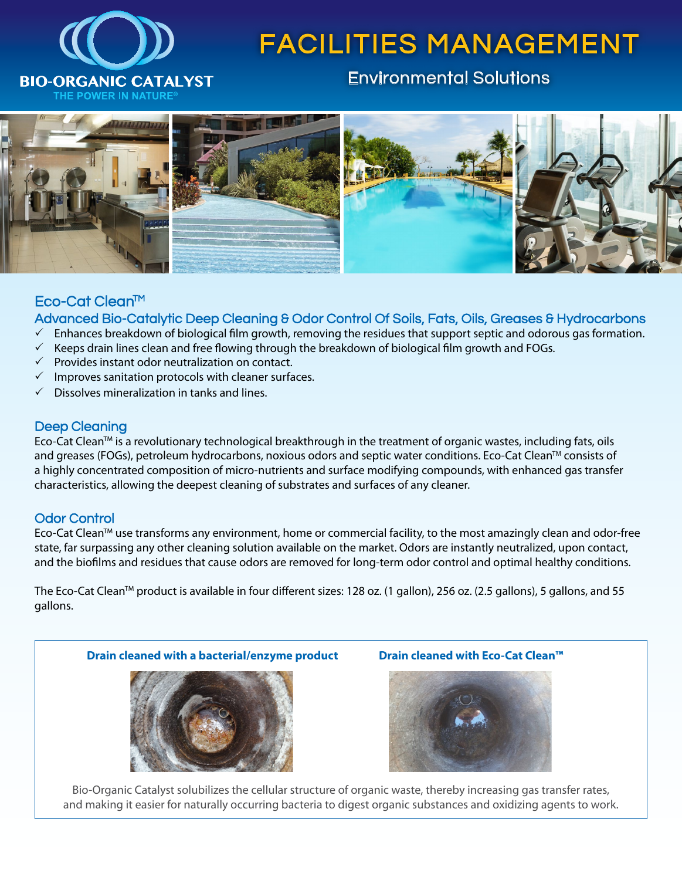

# FACILITIES MANAGEMENT

### Environmental Solutions



#### Eco-Cat Clean<sup>™</sup>

Advanced Bio-Catalytic Deep Cleaning & Odor Control Of Soils, Fats, Oils, Greases & Hydrocarbons

- $\checkmark$  Enhances breakdown of biological film growth, removing the residues that support septic and odorous gas formation.
- $\checkmark$  Keeps drain lines clean and free flowing through the breakdown of biological film growth and FOGs.
- $\checkmark$  Provides instant odor neutralization on contact.
- $\checkmark$  Improves sanitation protocols with cleaner surfaces.
- $\checkmark$  Dissolves mineralization in tanks and lines.

#### Deep Cleaning

Eco-Cat Clean<sup>™</sup> is a revolutionary technological breakthrough in the treatment of organic wastes, including fats, oils and greases (FOGs), petroleum hydrocarbons, noxious odors and septic water conditions. Eco-Cat Clean™ consists of a highly concentrated composition of micro-nutrients and surface modifying compounds, with enhanced gas transfer characteristics, allowing the deepest cleaning of substrates and surfaces of any cleaner.

#### Odor Control

Eco-Cat Clean™ use transforms any environment, home or commercial facility, to the most amazingly clean and odor-free state, far surpassing any other cleaning solution available on the market. Odors are instantly neutralized, upon contact, and the biofilms and residues that cause odors are removed for long-term odor control and optimal healthy conditions.

The Eco-Cat CleanTM product is available in four different sizes: 128 oz. (1 gallon), 256 oz. (2.5 gallons), 5 gallons, and 55 gallons.





Bio-Organic Catalyst solubilizes the cellular structure of organic waste, thereby increasing gas transfer rates, and making it easier for naturally occurring bacteria to digest organic substances and oxidizing agents to work.